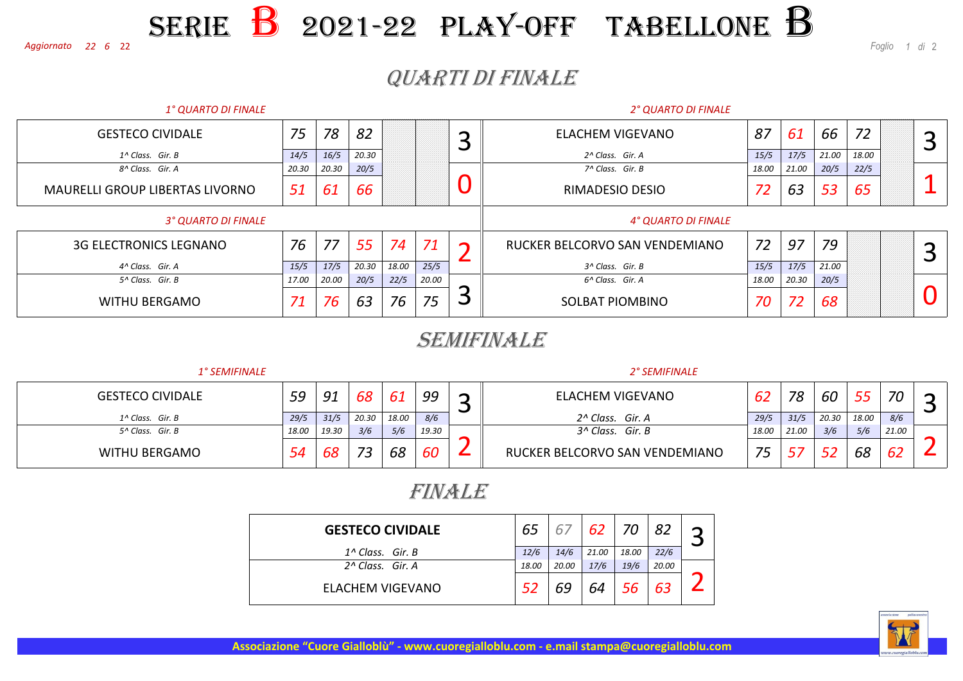#### <sup>22</sup> *<sup>1</sup> di* <sup>2</sup> SERIEE **B** 2021-22 PLAY-OFF TABELLONE B

*Foglio*

## QUARTI DI FINALE

| 1° QUARTO DI FINALE                    |       |       |       |       |                            |   | 2° QUARTO DI FINALE            |       |       |       |       |  |   |
|----------------------------------------|-------|-------|-------|-------|----------------------------|---|--------------------------------|-------|-------|-------|-------|--|---|
| <b>GESTECO CIVIDALE</b>                | 75    | 78    | 82    |       |                            |   | ELACHEM VIGEVANO               | 87    | 61    | 66    | 72    |  | ⌒ |
| 1^ Class. Gir. B                       | 14/5  | 16/5  | 20.30 |       |                            |   | 2^ Class. Gir. A               | 15/5  | 17/5  | 21.00 | 18.00 |  |   |
| 8^ Class. Gir. A                       | 20.30 | 20.30 | 20/5  |       |                            |   | 7^ Class. Gir. B               | 18.00 | 21.00 | 20/5  | 22/5  |  |   |
| <b>MAURELLI GROUP LIBERTAS LIVORNO</b> | 51    | 61    | 66    |       |                            |   | RIMADESIO DESIO                | 72    | 63    | 53    | 65    |  |   |
| 3° QUARTO DI FINALE                    |       |       |       |       | <b>4° QUARTO DI FINALE</b> |   |                                |       |       |       |       |  |   |
| <b>3G ELECTRONICS LEGNANO</b>          | 76    | 77    | 55    | 74    | 71                         |   | RUCKER BELCORVO SAN VENDEMIANO | 72    | 97    | 79    |       |  | ⌒ |
| 4^ Class. Gir. A                       | 15/5  | 17/5  | 20.30 | 18.00 | 25/5                       |   | 3^ Class. Gir. B               | 15/5  | 17/5  | 21.00 |       |  |   |
| 5^ Class. Gir. B                       | 17.00 | 20.00 | 20/5  | 22/5  | 20.00                      |   | 6^ Class. Gir. A               | 18.00 | 20.30 | 20/5  |       |  |   |
| <b>WITHU BERGAMO</b>                   | 71    | 76    | 63    | 76    | 75                         | پ | SOLBAT PIOMBINO                | 70    | 72    | 68    |       |  |   |

#### SEMIFINALE

| <b>1° SEMIFINALE</b>    |       |       |       |       |       |   | 2° SEMIFINALE                  |       |       |       |       |       |  |  |  |
|-------------------------|-------|-------|-------|-------|-------|---|--------------------------------|-------|-------|-------|-------|-------|--|--|--|
| <b>GESTECO CIVIDALE</b> | 59    | 91    | 68    | 61    | 99    | ∽ | <b>ELACHEM VIGEVANO</b>        | 62    | 78    | 60    | 55    | 70    |  |  |  |
| 1^ Class. Gir. B        | 29/5  | 31/5  | 20.30 | 18.00 | 8/6   |   | 2^ Class. Gir. A               | 29/5  | 31/5  | 20.30 | 18.00 | 8/6   |  |  |  |
| 5^ Class. Gir. B        | 18.00 | 19.30 | 3/6   | 5/6   | 19.30 |   | 3^ Class. Gir. B               | 18.00 | 21.00 | 3/6   | 5/6   | 21.00 |  |  |  |
| <b>WITHU BERGAMO</b>    | 54    | 68    | フつ    | 68    | 60    |   | RUCKER BELCORVO SAN VENDEMIANO | 75    |       |       | 68    | 62    |  |  |  |

### FINALE

| <b>GESTECO CIVIDALE</b>      | 65    |       | 62    | -70   | 82    |  |
|------------------------------|-------|-------|-------|-------|-------|--|
| $1^{\wedge}$ Class. Gir. B   | 12/6  | 14/6  | 21.00 | 18.00 | 22/6  |  |
| 2 <sup>A</sup> Class. Gir. A | 18.00 | 20.00 | 17/6  | 19/6  | 20.00 |  |
| ELACHEM VIGEVANO             |       | 69    | 64    | 56    | 63    |  |



**Associazione "Cuore Gialloblù" - www.cuoregialloblu.com - e.mail stampa@cuoregialloblu.com**

#### *<sup>22</sup> <sup>6</sup>Aggiornato*